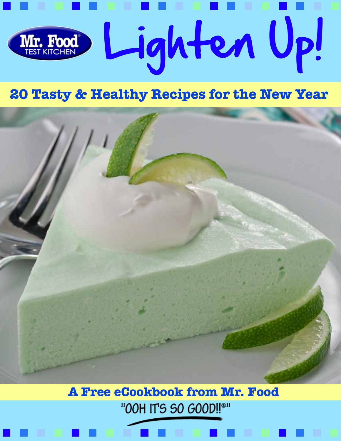

## **20 Tasty & Healthy Recipes for the New Year**



**A Free eCookbook from Mr. Food**"00H IT'S SO GOOD!!®"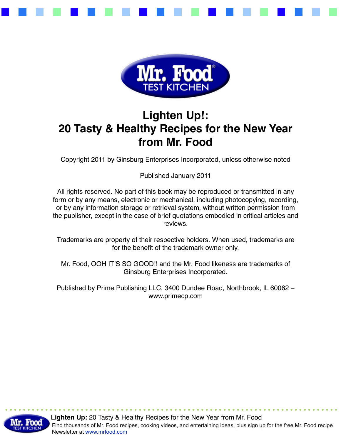



## **Lighten Up!: 20 Tasty & Healthy Recipes for the New Year from Mr. Food**

Copyright 2011 by Ginsburg Enterprises Incorporated, unless otherwise noted

Published January 2011

All rights reserved. No part of this book may be reproduced or transmitted in any form or by any means, electronic or mechanical, including photocopying, recording, or by any information storage or retrieval system, without written permission from the publisher, except in the case of brief quotations embodied in critical articles and reviews.

Trademarks are property of their respective holders. When used, trademarks are for the benefit of the trademark owner only.

Mr. Food, OOH IT'S SO GOOD!! and the Mr. Food likeness are trademarks of Ginsburg Enterprises Incorporated.

Published by Prime Publishing LLC, 3400 Dundee Road, Northbrook, IL 60062 – www.primecp.com

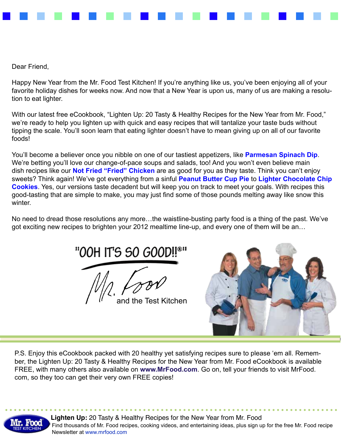

Dear Friend,

Happy New Year from the Mr. Food Test Kitchen! If you're anything like us, you've been enjoying all of your favorite holiday dishes for weeks now. And now that a New Year is upon us, many of us are making a resolution to eat lighter.

With our latest free eCookbook, "Lighten Up: 20 Tasty & Healthy Recipes for the New Year from Mr. Food," we're ready to help you lighten up with quick and easy recipes that will tantalize your taste buds without tipping the scale. You'll soon learn that eating lighter doesn't have to mean giving up on all of our favorite foods!

You'll become a believer once you nibble on one of our tastiest appetizers, like **[Parmesan Spinach Dip](http://www.mrfood.com/Appetizers/Parmesan-Spinach-Dip-2592)**. We're betting you'll love our change-of-pace soups and salads, too! And you won't even believe main dish recipes like our **[Not Fried "Fried" Chicken](http://www.mrfood.com/Chicken/Not-Fried-Fried-Chicken-2608/ct/1)** are as good for you as they taste. Think you can't enjoy sweets? Think again! We've got everything from a sinful **[Peanut Butter Cup Pie](http://www.mrfood.com/Pie/Peanut-Butter-Cup-Pie-2534/ct/1)** to **[Lighter Chocolate Chip](http://www.mrfood.com/Cookie-Recipes/Lighter-Chocolate-Chip-Cookies/ct/1) [Cookies](http://www.mrfood.com/Cookie-Recipes/Lighter-Chocolate-Chip-Cookies/ct/1)**. Yes, our versions taste decadent but will keep you on track to meet your goals. With recipes this good-tasting that are simple to make, you may just find some of those pounds melting away like snow this winter.

No need to dread those resolutions any more…the waistline-busting party food is a thing of the past. We've got exciting new recipes to brighten your 2012 mealtime line-up, and every one of them will be an…

"OOH IT'S SO GOOD!!

and the Test Kitchen



P.S. Enjoy this eCookbook packed with 20 healthy yet satisfying recipes sure to please 'em all. Remember, the Lighten Up: 20 Tasty & Healthy Recipes for the New Year from Mr. Food eCookbook is available FREE, with many others also available on **[www.MrFood.com](http://www.mrfood.com)**. Go on, tell your friends to visit MrFood. com, so they too can get their very own FREE copies!

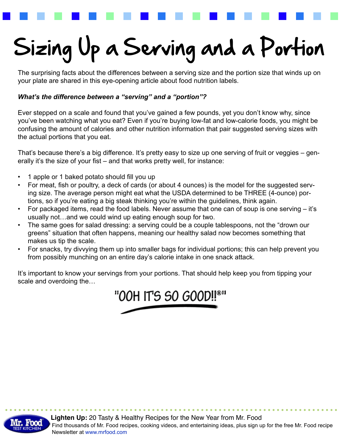## Sizing Up a Serving and a Portion

The surprising facts about the differences between a serving size and the portion size that winds up on your plate are shared in this eye-opening article about food nutrition labels.

### *What's the difference between a "serving" and a "portion"?*

Ever stepped on a scale and found that you've gained a few pounds, yet you don't know why, since you've been watching what you eat? Even if you're buying low-fat and low-calorie foods, you might be confusing the amount of calories and other nutrition information that pair suggested serving sizes with the actual portions that you eat.

That's because there's a big difference. It's pretty easy to size up one serving of fruit or veggies – generally it's the size of your fist – and that works pretty well, for instance:

- 1 apple or 1 baked potato should fill you up
- For meat, fish or poultry, a deck of cards (or about 4 ounces) is the model for the suggested serving size. The average person might eat what the USDA determined to be THREE (4-ounce) portions, so if you're eating a big steak thinking you're within the guidelines, think again.
- For packaged items, read the food labels. Never assume that one can of soup is one serving it's usually not…and we could wind up eating enough soup for two.
- The same goes for salad dressing: a serving could be a couple tablespoons, not the "drown our greens" situation that often happens, meaning our healthy salad now becomes something that makes us tip the scale.
- For snacks, try divvying them up into smaller bags for individual portions; this can help prevent you from possibly munching on an entire day's calorie intake in one snack attack.

It's important to know your servings from your portions. That should help keep you from tipping your scale and overdoing the…



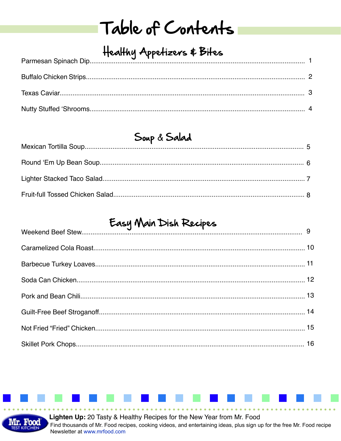## Table of Contents

## Healthy Appetizers & Bites

## Soup & Salad

## Easy Main Dish Recipes



Lighten Up: 20 Tasty & Healthy Recipes for the New Year from Mr. Food Find thousands of Mr. Food recipes, cooking videos, and entertaining ideas, plus sign up for the free Mr. Food recipe Newsletter at www.mrfood.com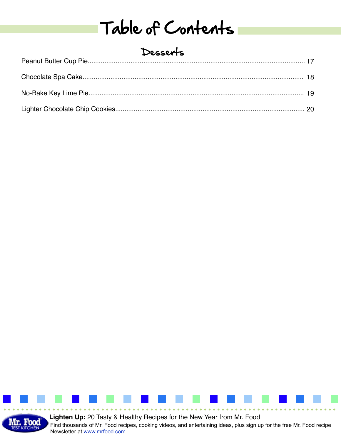## Table of Contents

## Desserts

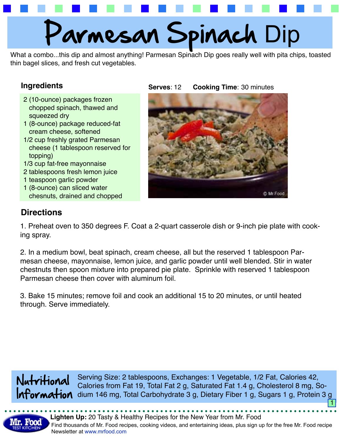

What a combo...this dip and almost anything! Parmesan Spinach Dip goes really well with pita chips, toasted thin bagel slices, and fresh cut vegetables.

### **Ingredients**

- 2 (10-ounce) packages frozen chopped spinach, thawed and squeezed dry
- 1 (8-ounce) package reduced-fat cream cheese, softened
- 1/2 cup freshly grated Parmesan cheese (1 tablespoon reserved for topping)
- 1/3 cup fat-free mayonnaise
- 2 tablespoons fresh lemon juice
- 1 teaspoon garlic powder
- 1 (8-ounce) can sliced water chesnuts, drained and chopped

#### **Serves**: **Cooking Time: 30 minutes**



## **Directions**

1. Preheat oven to 350 degrees F. Coat a 2-quart casserole dish or 9-inch pie plate with cooking spray.

2. In a medium bowl, beat spinach, cream cheese, all but the reserved 1 tablespoon Parmesan cheese, mayonnaise, lemon juice, and garlic powder until well blended. Stir in water chestnuts then spoon mixture into prepared pie plate. Sprinkle with reserved 1 tablespoon Parmesan cheese then cover with aluminum foil.

3. Bake 15 minutes; remove foil and cook an additional 15 to 20 minutes, or until heated through. Serve immediately.

Nutritional IATormAtion dium 146 mg, Total Carbohydrate 3 g, Dietary Fiber 1 g, Sugars 1 g, Protein 3 g Serving Size: 2 tablespoons, Exchanges: 1 Vegetable, 1/2 Fat, Calories 42, Calories from Fat 19, Total Fat 2 g, Saturated Fat 1.4 g, Cholesterol 8 mg, So-1

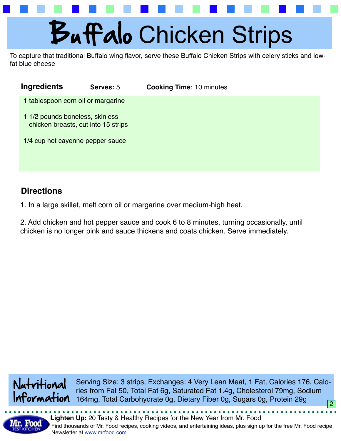

To capture that traditional Buffalo wing flavor, serve these Buffalo Chicken Strips with celery sticks and lowfat blue cheese

| Ingredients                        | Serves: 5                           | <b>Cooking Time: 10 minutes</b> |  |
|------------------------------------|-------------------------------------|---------------------------------|--|
| 1 tablespoon corn oil or margarine |                                     |                                 |  |
| 1 1/2 pounds boneless, skinless    | chicken breasts, cut into 15 strips |                                 |  |
| 1/4 cup hot cayenne pepper sauce   |                                     |                                 |  |
|                                    |                                     |                                 |  |

## **Directions**

1. In a large skillet, melt corn oil or margarine over medium-high heat.

2. Add chicken and hot pepper sauce and cook 6 to 8 minutes, turning occasionally, until chicken is no longer pink and sauce thickens and coats chicken. Serve immediately.



2 Serving Size: 3 strips, Exchanges: 4 Very Lean Meat, 1 Fat, Calories 176, Calories from Fat 50, Total Fat 6g, Saturated Fat 1.4g, Cholesterol 79mg, Sodium 164mg, Total Carbohydrate 0g, Dietary Fiber 0g, Sugars 0g, Protein 29g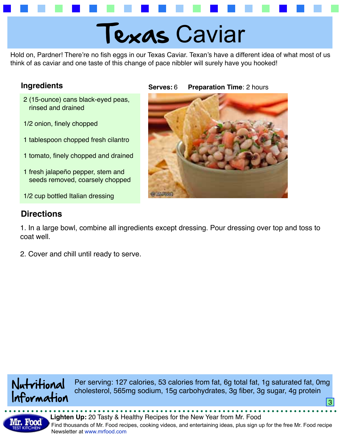## Texas Caviar

Hold on, Pardner! There're no fish eggs in our Texas Caviar. Texan's have a different idea of what most of us think of as caviar and one taste of this change of pace nibbler will surely have you hooked!

### **Ingredients**

- 2 (15-ounce) cans black-eyed peas, rinsed and drained
- 1/2 onion, finely chopped
- 1 tablespoon chopped fresh cilantro
- 1 tomato, finely chopped and drained
- 1 fresh jalapeño pepper, stem and seeds removed, coarsely chopped
- 1/2 cup bottled Italian dressing

## **Directions**

**Serves: Preparation Time: 2 hours** 



1. In a large bowl, combine all ingredients except dressing. Pour dressing over top and toss to coat well.

2. Cover and chill until ready to serve.



Per serving: 127 calories, 53 calories from fat, 6g total fat, 1g saturated fat, 0mg cholesterol, 565mg sodium, 15g carbohydrates, 3g fiber, 3g sugar, 4g protein

<u>3</u>

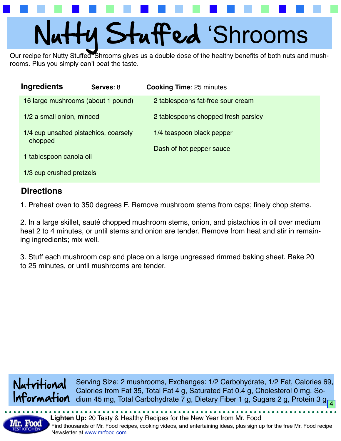# Nutty Stuffed 'Shrooms

Our recipe for Nutty Stuffed 'Shrooms gives us a double dose of the healthy benefits of both nuts and mushrooms. Plus you simply can't beat the taste.

| Ingredients                                      | Serves: 8 | <b>Cooking Time: 25 minutes</b>     |
|--------------------------------------------------|-----------|-------------------------------------|
| 16 large mushrooms (about 1 pound)               |           | 2 tablespoons fat-free sour cream   |
| 1/2 a small onion, minced                        |           | 2 tablespoons chopped fresh parsley |
| 1/4 cup unsalted pistachios, coarsely<br>chopped |           | 1/4 teaspoon black pepper           |
| 1 tablespoon canola oil                          |           | Dash of hot pepper sauce            |
| 1/3 cup crushed pretzels                         |           |                                     |
|                                                  |           |                                     |

## **Directions**

1. Preheat oven to 350 degrees F. Remove mushroom stems from caps; finely chop stems.

2. In a large skillet, sauté chopped mushroom stems, onion, and pistachios in oil over medium heat 2 to 4 minutes, or until stems and onion are tender. Remove from heat and stir in remaining ingredients; mix well.

3. Stuff each mushroom cap and place on a large ungreased rimmed baking sheet. Bake 20 to 25 minutes, or until mushrooms are tender.



Serving Size: 2 mushrooms, Exchanges: 1/2 Carbohydrate, 1/2 Fat, Calories 69, Calories from Fat 35, Total Fat 4 g, Saturated Fat 0.4 g, Cholesterol 0 mg, Sodium 45 mg, Total Carbohydrate 7 g, Dietary Fiber 1 g, Sugars 2 g, Protein 3 g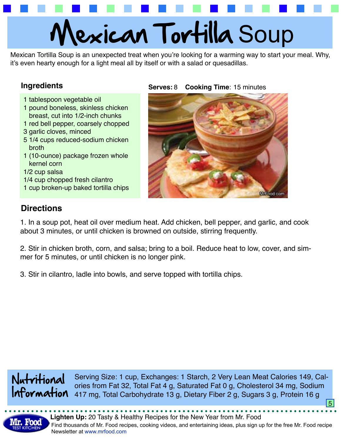# Mexican Tortilla Soup

Mexican Tortilla Soup is an unexpected treat when you're looking for a warming way to start your meal. Why, it's even hearty enough for a light meal all by itself or with a salad or quesadillas.

### **Ingredients Serves:** 8

- 1 tablespoon vegetable oil
- 1 pound boneless, skinless chicken breast, cut into 1/2-inch chunks
- 1 red bell pepper, coarsely chopped
- 3 garlic cloves, minced
- 5 1/4 cups reduced-sodium chicken broth
- 1 (10-ounce) package frozen whole kernel corn
- 1/2 cup salsa
- 1/4 cup chopped fresh cilantro
- 1 cup broken-up baked tortilla chips

### 8 **Cooking Time**: 15 minutes



## **Directions**

1. In a soup pot, heat oil over medium heat. Add chicken, bell pepper, and garlic, and cook about 3 minutes, or until chicken is browned on outside, stirring frequently.

2. Stir in chicken broth, corn, and salsa; bring to a boil. Reduce heat to low, cover, and simmer for 5 minutes, or until chicken is no longer pink.

3. Stir in cilantro, ladle into bowls, and serve topped with tortilla chips.



Serving Size: 1 cup, Exchanges: 1 Starch, 2 Very Lean Meat Calories 149, Calories from Fat 32, Total Fat 4 g, Saturated Fat 0 g, Cholesterol 34 mg, Sodium 417 mg, Total Carbohydrate 13 g, Dietary Fiber 2 g, Sugars 3 g, Protein 16 g

5

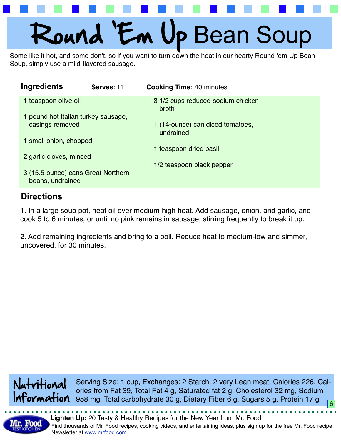# Round 'Em Up Bean Soup

Some like it hot, and some don't, so if you want to turn down the heat in our hearty Round 'em Up Bean Soup, simply use a mild-flavored sausage.

| Ingredients                                            | Serves: 11 | <b>Cooking Time: 40 minutes</b>               |
|--------------------------------------------------------|------------|-----------------------------------------------|
| 1 teaspoon olive oil                                   |            | 3 1/2 cups reduced-sodium chicken<br>broth    |
| 1 pound hot Italian turkey sausage,                    |            |                                               |
| casings removed                                        |            | 1 (14-ounce) can diced tomatoes,<br>undrained |
| 1 small onion, chopped                                 |            |                                               |
|                                                        |            | 1 teaspoon dried basil                        |
| 2 garlic cloves, minced                                |            |                                               |
|                                                        |            | 1/2 teaspoon black pepper                     |
| 3 (15.5-ounce) cans Great Northern<br>beans, undrained |            |                                               |
|                                                        |            |                                               |

## **Directions**

1. In a large soup pot, heat oil over medium-high heat. Add sausage, onion, and garlic, and cook 5 to 6 minutes, or until no pink remains in sausage, stirring frequently to break it up.

2. Add remaining ingredients and bring to a boil. Reduce heat to medium-low and simmer, uncovered, for 30 minutes.



Serving Size: 1 cup, Exchanges: 2 Starch, 2 very Lean meat, Calories 226, Calories from Fat 39, Total Fat 4 g, Saturated fat 2 g, Cholesterol 32 mg, Sodium 958 mg, Total carbohydrate 30 g, Dietary Fiber 6 g, Sugars 5 g, Protein 17 g 6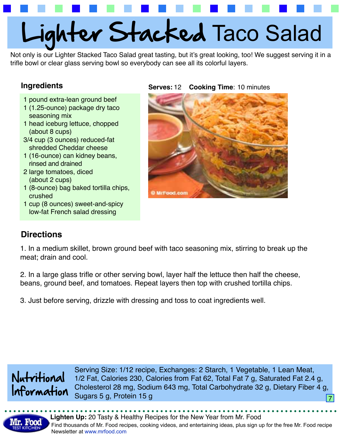# Lighter Stacked Taco Salad

Not only is our Lighter Stacked Taco Salad great tasting, but it's great looking, too! We suggest serving it in a trifle bowl or clear glass serving bowl so everybody can see all its colorful layers.

### **Ingredients**

- 1 pound extra-lean ground beef
- 1 (1.25-ounce) package dry taco seasoning mix
- 1 head iceburg lettuce, chopped (about 8 cups)
- 3/4 cup (3 ounces) reduced-fat shredded Cheddar cheese
- 1 (16-ounce) can kidney beans, rinsed and drained
- 2 large tomatoes, diced (about 2 cups)
- 1 (8-ounce) bag baked tortilla chips, crushed
- 1 cup (8 ounces) sweet-and-spicy low-fat French salad dressing

#### **Serves:** 12 **Cooking Time**: 10 minutes



## **Directions**

1. In a medium skillet, brown ground beef with taco seasoning mix, stirring to break up the meat; drain and cool.

2. In a large glass trifle or other serving bowl, layer half the lettuce then half the cheese, beans, ground beef, and tomatoes. Repeat layers then top with crushed tortilla chips.

3. Just before serving, drizzle with dressing and toss to coat ingredients well.



Serving Size: 1/12 recipe, Exchanges: 2 Starch, 1 Vegetable, 1 Lean Meat, 1/2 Fat, Calories 230, Calories from Fat 62, Total Fat 7 g, Saturated Fat 2.4 g, Cholesterol 28 mg, Sodium 643 mg, Total Carbohydrate 32 g, Dietary Fiber 4 g, Sugars 5 g, Protein 15 g

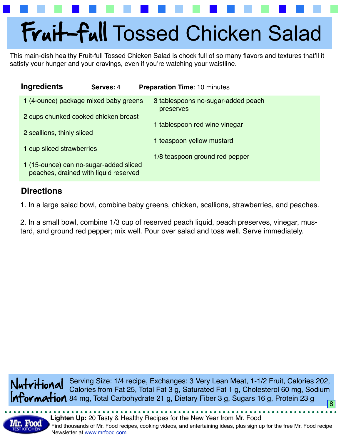## Fruit-full Tossed Chicken Salad

This main-dish healthy Fruit-full Tossed Chicken Salad is chock full of so many flavors and textures that'll it satisfy your hunger and your cravings, even if you're watching your waistline.

| <b>Ingredients</b>                                                              | Serves: 4 | <b>Preparation Time: 10 minutes</b>             |
|---------------------------------------------------------------------------------|-----------|-------------------------------------------------|
| 1 (4-ounce) package mixed baby greens                                           |           | 3 tablespoons no-sugar-added peach<br>preserves |
| 2 cups chunked cooked chicken breast                                            |           |                                                 |
| 2 scallions, thinly sliced                                                      |           | 1 tablespoon red wine vinegar                   |
|                                                                                 |           | 1 teaspoon yellow mustard                       |
| 1 cup sliced strawberries                                                       |           | 1/8 teaspoon ground red pepper                  |
| 1 (15-ounce) can no-sugar-added sliced<br>peaches, drained with liquid reserved |           |                                                 |

## **Directions**

1. In a large salad bowl, combine baby greens, chicken, scallions, strawberries, and peaches.

2. In a small bowl, combine 1/3 cup of reserved peach liquid, peach preserves, vinegar, mustard, and ground red pepper; mix well. Pour over salad and toss well. Serve immediately.

8 Nutritional Information 84 mg, Total Carbohydrate 21 g, Dietary Fiber 3 g, Sugars 16 g, Protein 23 g Serving Size: 1/4 recipe, Exchanges: 3 Very Lean Meat, 1-1/2 Fruit, Calories 202, Calories from Fat 25, Total Fat 3 g, Saturated Fat 1 g, Cholesterol 60 mg, Sodium

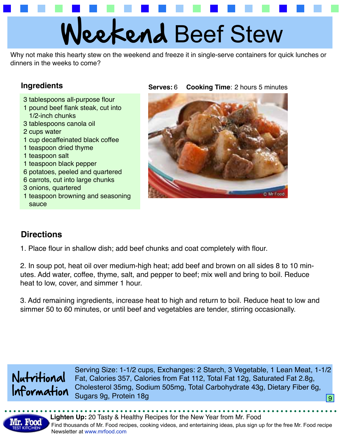## eekend Beef Stew

Why not make this hearty stew on the weekend and freeze it in single-serve containers for quick lunches or dinners in the weeks to come?

### **Ingredients**

- 3 tablespoons all-purpose flour
- 1 pound beef flank steak, cut into 1/2-inch chunks
- 3 tablespoons canola oil
- 2 cups water
- 1 cup decaffeinated black coffee
- 1 teaspoon dried thyme
- 1 teaspoon salt
- 1 teaspoon black pepper
- 6 potatoes, peeled and quartered
- 6 carrots, cut into large chunks
- 3 onions, quartered
- 1 teaspoon browning and seasoning sauce

#### **Serves:** 6 **Cooking Time**: 2 hours 5 minutes



## **Directions**

1. Place flour in shallow dish; add beef chunks and coat completely with flour.

2. In soup pot, heat oil over medium-high heat; add beef and brown on all sides 8 to 10 minutes. Add water, coffee, thyme, salt, and pepper to beef; mix well and bring to boil. Reduce heat to low, cover, and simmer 1 hour.

3. Add remaining ingredients, increase heat to high and return to boil. Reduce heat to low and simmer 50 to 60 minutes, or until beef and vegetables are tender, stirring occasionally.



Serving Size: 1-1/2 cups, Exchanges: 2 Starch, 3 Vegetable, 1 Lean Meat, 1-1/2 Fat, Calories 357, Calories from Fat 112, Total Fat 12g, Saturated Fat 2.8g, Cholesterol 35mg, Sodium 505mg, Total Carbohydrate 43g, Dietary Fiber 6g, Sugars 9g, Protein 18g 95 and 200 million and 200 million and 200 million and 30 million and 30 million and 30

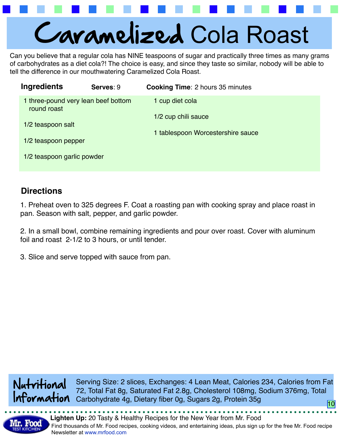

Can you believe that a regular cola has NINE teaspoons of sugar and practically three times as many grams of carbohydrates as a diet cola?! The choice is easy, and since they taste so similar, nobody will be able to tell the difference in our mouthwatering Caramelized Cola Roast.

| <b>Ingredients</b>                                 | Serves: 9 | <b>Cooking Time: 2 hours 35 minutes</b> |
|----------------------------------------------------|-----------|-----------------------------------------|
| 1 three-pound very lean beef bottom<br>round roast |           | 1 cup diet cola                         |
| 1/2 teaspoon salt                                  |           | 1/2 cup chili sauce                     |
|                                                    |           | 1 tablespoon Worcestershire sauce       |
| 1/2 teaspoon pepper                                |           |                                         |
| 1/2 teaspoon garlic powder                         |           |                                         |

## **Directions**

1. Preheat oven to 325 degrees F. Coat a roasting pan with cooking spray and place roast in pan. Season with salt, pepper, and garlic powder.

2. In a small bowl, combine remaining ingredients and pour over roast. Cover with aluminum foil and roast 2-1/2 to 3 hours, or until tender.

3. Slice and serve topped with sauce from pan.



Serving Size: 2 slices, Exchanges: 4 Lean Meat, Calories 234, Calories from Fat 72, Total Fat 8g, Saturated Fat 2.8g, Cholesterol 108mg, Sodium 376mg, Total Carbohydrate 4g, Dietary fiber 0g, Sugars 2g, Protein 35g 10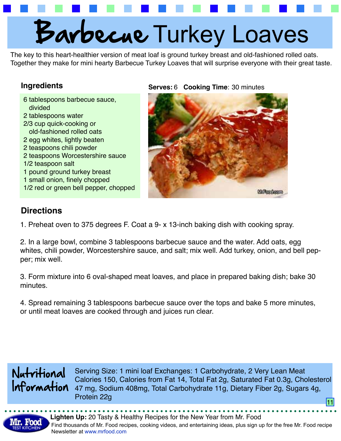## Barbecue Turkey Loaves

The key to this heart-healthier version of meat loaf is ground turkey breast and old-fashioned rolled oats. Together they make for mini hearty Barbecue Turkey Loaves that will surprise everyone with their great taste.

### **Ingredients**

6 tablespoons barbecue sauce, divided 2 tablespoons water 2/3 cup quick-cooking or old-fashioned rolled oats 2 egg whites, lightly beaten 2 teaspoons chili powder 2 teaspoons Worcestershire sauce 1/2 teaspoon salt 1 pound ground turkey breast 1 small onion, finely chopped 1/2 red or green bell pepper, chopped

### **Serves: 6 Cooking Time: 30 minutes**



## **Directions**

1. Preheat oven to 375 degrees F. Coat a 9- x 13-inch baking dish with cooking spray.

2. In a large bowl, combine 3 tablespoons barbecue sauce and the water. Add oats, egg whites, chili powder, Worcestershire sauce, and salt; mix well. Add turkey, onion, and bell pepper; mix well.

3. Form mixture into 6 oval-shaped meat loaves, and place in prepared baking dish; bake 30 minutes.

4. Spread remaining 3 tablespoons barbecue sauce over the tops and bake 5 more minutes, or until meat loaves are cooked through and juices run clear.



Serving Size: 1 mini loaf Exchanges: 1 Carbohydrate, 2 Very Lean Meat Calories 150, Calories from Fat 14, Total Fat 2g, Saturated Fat 0.3g, Cholesterol 47 mg, Sodium 408mg, Total Carbohydrate 11g, Dietary Fiber 2g, Sugars 4g, erotein 22g 11 august 2007 - Andre Stein 2007 - Andre Stein 2007 - Andre Stein 2007 - Andre Stein 2007 - Andre<br>11 august 2008 - Andre Stein 2007 - Andre Stein 2007 - Andre Stein 2007 - Andre Stein 2007 - Andre Stein 2007<br>1

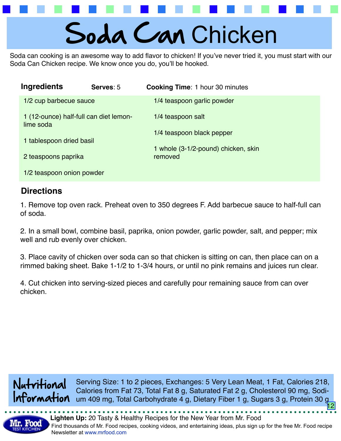## Soda Can Chicken

Soda can cooking is an awesome way to add flavor to chicken! If you've never tried it, you must start with our Soda Can Chicken recipe. We know once you do, you'll be hooked.

| <b>Ingredients</b>                                  | Serves: 5 | <b>Cooking Time: 1 hour 30 minutes</b>         |
|-----------------------------------------------------|-----------|------------------------------------------------|
| 1/2 cup barbecue sauce                              |           | 1/4 teaspoon garlic powder                     |
| 1 (12-ounce) half-full can diet lemon-<br>lime soda |           | 1/4 teaspoon salt                              |
| 1 tablespoon dried basil                            |           | 1/4 teaspoon black pepper                      |
| 2 teaspoons paprika                                 |           | 1 whole (3-1/2-pound) chicken, skin<br>removed |
| 1/2 teaspoon onion powder                           |           |                                                |

## **Directions**

1. Remove top oven rack. Preheat oven to 350 degrees F. Add barbecue sauce to half-full can of soda.

2. In a small bowl, combine basil, paprika, onion powder, garlic powder, salt, and pepper; mix well and rub evenly over chicken.

3. Place cavity of chicken over soda can so that chicken is sitting on can, then place can on a rimmed baking sheet. Bake 1-1/2 to 1-3/4 hours, or until no pink remains and juices run clear.

4. Cut chicken into serving-sized pieces and carefully pour remaining sauce from can over chicken.

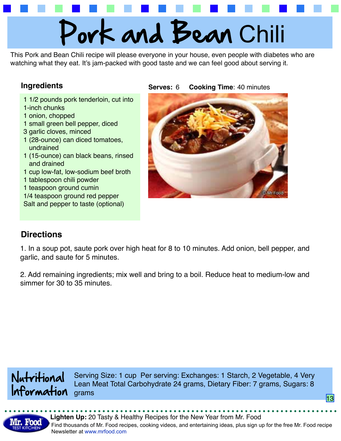# Pork and Bean Chili

This Pork and Bean Chili recipe will please everyone in your house, even people with diabetes who are watching what they eat. It's jam-packed with good taste and we can feel good about serving it.

### **Ingredients**

- 1 1/2 pounds pork tenderloin, cut into
- 1-inch chunks
- 1 onion, chopped
- 1 small green bell pepper, diced
- 3 garlic cloves, minced
- 1 (28-ounce) can diced tomatoes, undrained
- 1 (15-ounce) can black beans, rinsed and drained
- 1 cup low-fat, low-sodium beef broth
- 1 tablespoon chili powder
- 1 teaspoon ground cumin
- 1/4 teaspoon ground red pepper Salt and pepper to taste (optional)

**Serves:** 6 **Cooking Time**: 40 minutes



## **Directions**

1. In a soup pot, saute pork over high heat for 8 to 10 minutes. Add onion, bell pepper, and garlic, and saute for 5 minutes.

2. Add remaining ingredients; mix well and bring to a boil. Reduce heat to medium-low and simmer for 30 to 35 minutes.



Serving Size: 1 cup Per serving: Exchanges: 1 Starch, 2 Vegetable, 4 Very Lean Meat Total Carbohydrate 24 grams, Dietary Fiber: 7 grams, Sugars: 8 grams

13

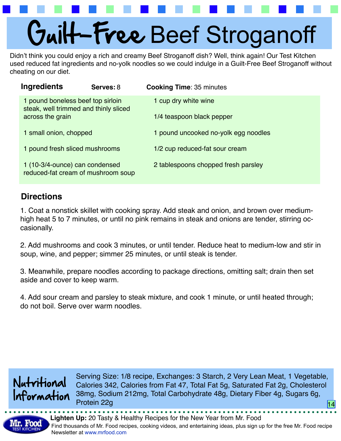## Guilt-Free Beef Stroganoff

Didn't think you could enjoy a rich and creamy Beef Stroganoff dish? Well, think again! Our Test Kitchen used reduced fat ingredients and no-yolk noodles so we could indulge in a Guilt-Free Beef Stroganoff without cheating on our diet.

| <b>Ingredients</b>                                                         | Serves: 8 | <b>Cooking Time: 35 minutes</b>      |
|----------------------------------------------------------------------------|-----------|--------------------------------------|
| 1 pound boneless beef top sirloin<br>steak, well trimmed and thinly sliced |           | 1 cup dry white wine                 |
| across the grain                                                           |           | 1/4 teaspoon black pepper            |
| 1 small onion, chopped                                                     |           | 1 pound uncooked no-yolk egg noodles |
| 1 pound fresh sliced mushrooms                                             |           | 1/2 cup reduced-fat sour cream       |
| 1 (10-3/4-ounce) can condensed<br>reduced-fat cream of mushroom soup       |           | 2 tablespoons chopped fresh parsley  |

## **Directions**

1. Coat a nonstick skillet with cooking spray. Add steak and onion, and brown over mediumhigh heat 5 to 7 minutes, or until no pink remains in steak and onions are tender, stirring occasionally.

2. Add mushrooms and cook 3 minutes, or until tender. Reduce heat to medium-low and stir in soup, wine, and pepper; simmer 25 minutes, or until steak is tender.

3. Meanwhile, prepare noodles according to package directions, omitting salt; drain then set aside and cover to keep warm.

4. Add sour cream and parsley to steak mixture, and cook 1 minute, or until heated through; do not boil. Serve over warm noodles.



Serving Size: 1/8 recipe, Exchanges: 3 Starch, 2 Very Lean Meat, 1 Vegetable, Calories 342, Calories from Fat 47, Total Fat 5g, Saturated Fat 2g, Cholesterol 38mg, Sodium 212mg, Total Carbohydrate 48g, Dietary Fiber 4g, Sugars 6g, Protein 22g 14 and 20 and 20 and 20 and 20 and 20 and 20 and 20 and 20 and 20 and 20 and 20 and 20 and

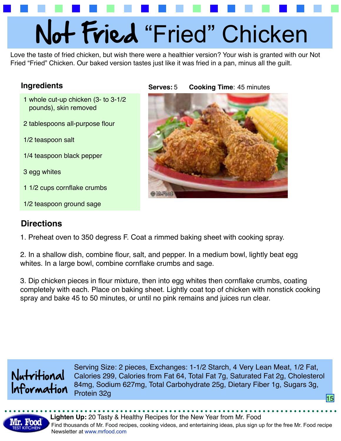# Not Fried "Fried" Chicken

Love the taste of fried chicken, but wish there were a healthier version? Your wish is granted with our Not Fried "Fried" Chicken. Our baked version tastes just like it was fried in a pan, minus all the guilt.

### **Ingredients Serves:** 5

- 1 whole cut-up chicken (3- to 3-1/2 pounds), skin removed
- 2 tablespoons all-purpose flour
- 1/2 teaspoon salt
- 1/4 teaspoon black pepper
- 3 egg whites
- 1 1/2 cups cornflake crumbs
- 1/2 teaspoon ground sage

## **Directions**

5 **Cooking Time**: 45 minutes



1. Preheat oven to 350 degress F. Coat a rimmed baking sheet with cooking spray.

2. In a shallow dish, combine flour, salt, and pepper. In a medium bowl, lightly beat egg whites. In a large bowl, combine cornflake crumbs and sage.

3. Dip chicken pieces in flour mixture, then into egg whites then cornflake crumbs, coating completely with each. Place on baking sheet. Lightly coat top of chicken with nonstick cooking spray and bake 45 to 50 minutes, or until no pink remains and juices run clear.



Serving Size: 2 pieces, Exchanges: 1-1/2 Starch, 4 Very Lean Meat, 1/2 Fat, Calories 299, Calories from Fat 64, Total Fat 7g, Saturated Fat 2g, Cholesterol 84mg, Sodium 627mg, Total Carbohydrate 25g, Dietary Fiber 1g, Sugars 3g, erotein 32g 15 august 2008 in der Europäischen Schwarzen aus der Europäischen Schwarzen und der Europäischen S<br>15 august 2008 in der Europäischen Schwarzen aus der Europäischen Schwarzen und der Europäischen Schwarzen und<br>

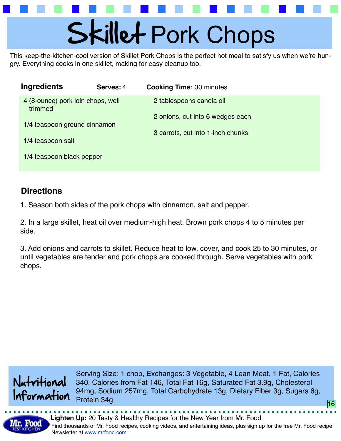# Skillet Pork Chops

This keep-the-kitchen-cool version of Skillet Pork Chops is the perfect hot meal to satisfy us when we're hungry. Everything cooks in one skillet, making for easy cleanup too.

| Ingredients                                  | Serves: 4 | <b>Cooking Time: 30 minutes</b>   |
|----------------------------------------------|-----------|-----------------------------------|
| 4 (8-ounce) pork loin chops, well<br>trimmed |           | 2 tablespoons canola oil          |
| 1/4 teaspoon ground cinnamon                 |           | 2 onions, cut into 6 wedges each  |
| 1/4 teaspoon salt                            |           | 3 carrots, cut into 1-inch chunks |
| 1/4 teaspoon black pepper                    |           |                                   |

## **Directions**

1. Season both sides of the pork chops with cinnamon, salt and pepper.

2. In a large skillet, heat oil over medium-high heat. Brown pork chops 4 to 5 minutes per side.

3. Add onions and carrots to skillet. Reduce heat to low, cover, and cook 25 to 30 minutes, or until vegetables are tender and pork chops are cooked through. Serve vegetables with pork chops.



Serving Size: 1 chop, Exchanges: 3 Vegetable, 4 Lean Meat, 1 Fat, Calories 340, Calories from Fat 146, Total Fat 16g, Saturated Fat 3.9g, Cholesterol 94mg, Sodium 257mg, Total Carbohydrate 13g, Dietary Fiber 3g, Sugars 6g, Protein 34g

16

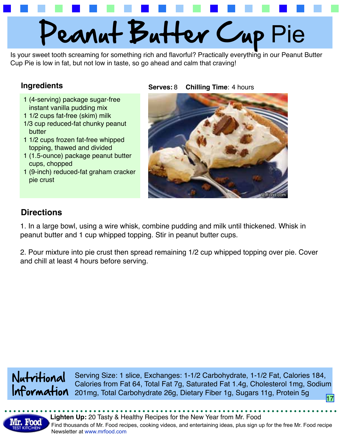

Is your sweet tooth screaming for something rich and flavorful? Practically everything in our Peanut Butter Cup Pie is low in fat, but not low in taste, so go ahead and calm that craving!

### **Ingredients Serves:** 8

- 1 (4-serving) package sugar-free instant vanilla pudding mix
- 1 1/2 cups fat-free (skim) milk
- 1/3 cup reduced-fat chunky peanut butter
- 1 1/2 cups frozen fat-free whipped topping, thawed and divided
- 1 (1.5-ounce) package peanut butter cups, chopped
- 1 (9-inch) reduced-fat graham cracker pie crust

### 8 **Chilling Time**: 4 hours



## **Directions**

1. In a large bowl, using a wire whisk, combine pudding and milk until thickened. Whisk in peanut butter and 1 cup whipped topping. Stir in peanut butter cups.

2. Pour mixture into pie crust then spread remaining 1/2 cup whipped topping over pie. Cover and chill at least 4 hours before serving.



17 Information 201mg, Total Carbohydrate 26g, Dietary Fiber 1g, Sugars 11g, Protein 5g Serving Size: 1 slice, Exchanges: 1-1/2 Carbohydrate, 1-1/2 Fat, Calories 184, Calories from Fat 64, Total Fat 7g, Saturated Fat 1.4g, Cholesterol 1mg, Sodium

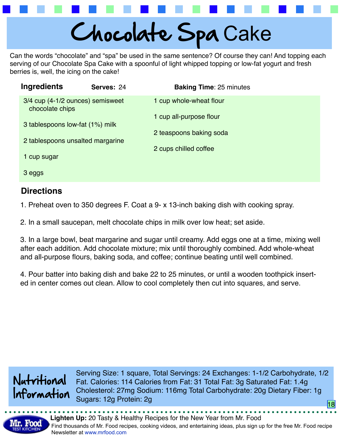

Can the words "chocolate" and "spa" be used in the same sentence? Of course they can! And topping each serving of our Chocolate Spa Cake with a spoonful of light whipped topping or low-fat yogurt and fresh berries is, well, the icing on the cake!

| Ingredients                                                                                                                | Serves: 24 | <b>Baking Time: 25 minutes</b> |
|----------------------------------------------------------------------------------------------------------------------------|------------|--------------------------------|
| 3/4 cup (4-1/2 ounces) semisweet<br>chocolate chips<br>3 tablespoons low-fat (1%) milk<br>2 tablespoons unsalted margarine |            | 1 cup whole-wheat flour        |
|                                                                                                                            |            | 1 cup all-purpose flour        |
|                                                                                                                            |            | 2 teaspoons baking soda        |
|                                                                                                                            |            | 2 cups chilled coffee          |
| 1 cup sugar                                                                                                                |            |                                |
| 3 eggs                                                                                                                     |            |                                |

## **Directions**

1. Preheat oven to 350 degrees F. Coat a 9- x 13-inch baking dish with cooking spray.

2. In a small saucepan, melt chocolate chips in milk over low heat; set aside.

3. In a large bowl, beat margarine and sugar until creamy. Add eggs one at a time, mixing well after each addition. Add chocolate mixture; mix until thoroughly combined. Add whole-wheat and all-purpose flours, baking soda, and coffee; continue beating until well combined.

4. Pour batter into baking dish and bake 22 to 25 minutes, or until a wooden toothpick inserted in center comes out clean. Allow to cool completely then cut into squares, and serve.



Serving Size: 1 square, Total Servings: 24 Exchanges: 1-1/2 Carbohydrate, 1/2 Fat. Calories: 114 Calories from Fat: 31 Total Fat: 3g Saturated Fat: 1.4g Cholesterol: 27mg Sodium: 116mg Total Carbohydrate: 20g Dietary Fiber: 1g Sugars: 12g Protein: 2g <u> 18</u>

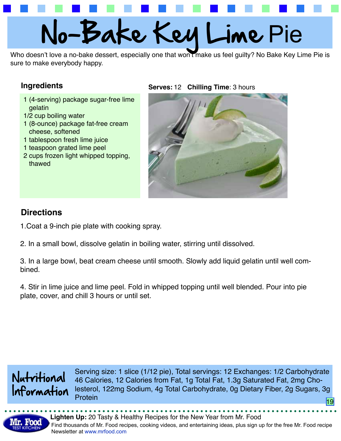# No-Bake Key Lime Pie

Who doesn't love a no-bake dessert, especially one that won't make us feel guilty? No Bake Key Lime Pie is sure to make everybody happy.

### **Ingredients**

- 1 (4-serving) package sugar-free lime gelatin
- 1/2 cup boiling water
- 1 (8-ounce) package fat-free cream cheese, softened
- 1 tablespoon fresh lime juice
- 1 teaspoon grated lime peel
- 2 cups frozen light whipped topping, thawed

### **Serves: 12 Chilling Time: 3 hours**



## **Directions**

- 1.Coat a 9-inch pie plate with cooking spray.
- 2. In a small bowl, dissolve gelatin in boiling water, stirring until dissolved.

3. In a large bowl, beat cream cheese until smooth. Slowly add liquid gelatin until well combined.

4. Stir in lime juice and lime peel. Fold in whipped topping until well blended. Pour into pie plate, cover, and chill 3 hours or until set.



Serving size: 1 slice (1/12 pie), Total servings: 12 Exchanges: 1/2 Carbohydrate 46 Calories, 12 Calories from Fat, 1g Total Fat, 1.3g Saturated Fat, 2mg Cholesterol, 122mg Sodium, 4g Total Carbohydrate, 0g Dietary Fiber, 2g Sugars, 3g Protein 1980 - Andrea Broadway, and an andrea Broadway and an andrea Broadway and 1980.<br>The contract of the contract of the contract of the contract of the contract of the contract of the contract o